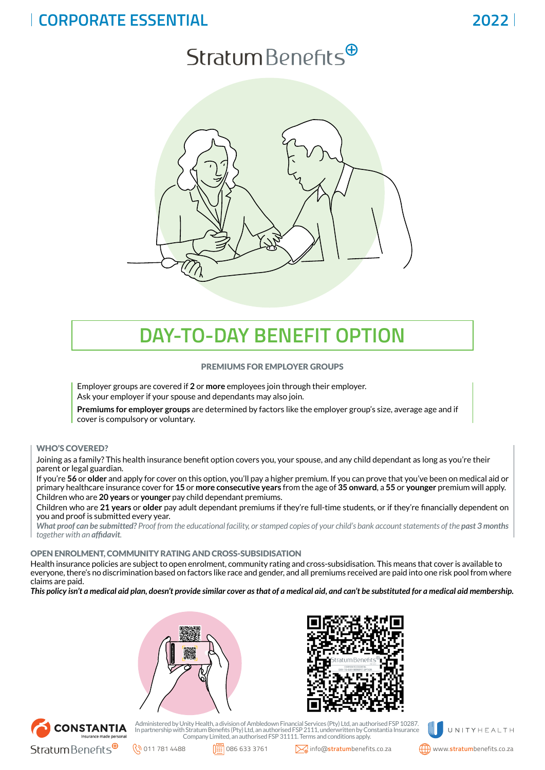## **CORPORATE ESSENTIAL 2022**

# Stratum Benefits $\Theta$



## **DAY-TO-DAY BENEFIT OPTION**

#### PREMIUMS FOR EMPLOYER GROUPS

Employer groups are covered if **2** or **more** employees join through their employer. Ask your employer if your spouse and dependants may also join.

**Premiums for employer groups** are determined by factors like the employer group's size, average age and if cover is compulsory or voluntary.

#### WHO'S COVERED?

Joining as a family? This health insurance benefit option covers you, your spouse, and any child dependant as long as you're their parent or legal guardian.

If you're **56** or **older** and apply for cover on this option, you'll pay a higher premium. If you can prove that you've been on medical aid or primary healthcare insurance cover for **15** or **more consecutive years** from the age of **35 onward**, a **55** or **younger** premium will apply. Children who are **20 years** or **younger** pay child dependant premiums.

Children who are **21 years** or **older** pay adult dependant premiums if they're full-time students, or if they're financially dependent on you and proof is submitted every year.

*What proof can be submitted? Proof from the educational facility, or stamped copies of your child's bank account statements of the past 3 months together with an affidavit.*

#### OPEN ENROLMENT, COMMUNITY RATING AND CROSS-SUBSIDISATION

Health insurance policies are subject to open enrolment, community rating and cross-subsidisation. This means that cover is available to everyone, there's no discrimination based on factors like race and gender, and all premiums received are paid into one risk pool from where claims are paid.

*This policy isn't a medical aid plan, doesn't provide similar cover as that of a medical aid, and can't be substituted for a medical aid membership.*







Administered by Unity Health, a division of Ambledown Financial Services (Pty) Ltd, an authorised FSP 10287.<br>In partnership with Stratum Benefits (Pty) Ltd, an authorised FSP 2111, underwritten by Constantia Insurance<br>Comp



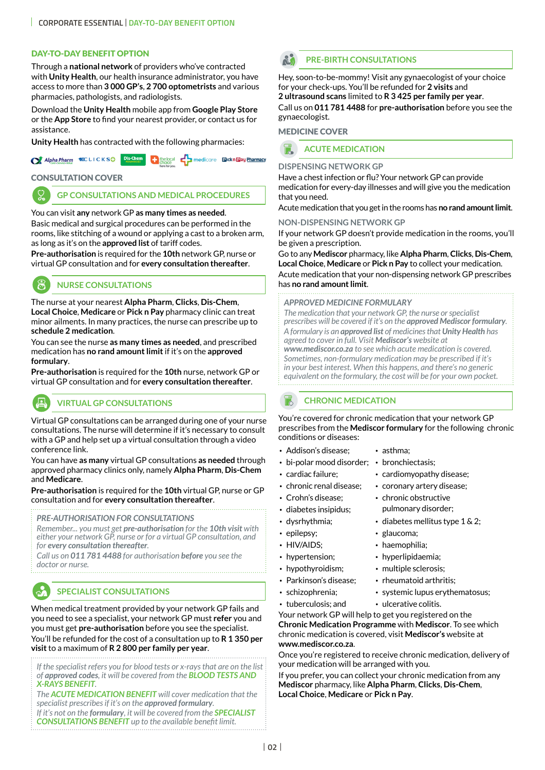#### DAY-TO-DAY BENEFIT OPTION

Through a **national network** of providers who've contracted with **Unity Health**, our health insurance administrator, you have access to more than **3 000 GP's**, **2 700 optometrists** and various pharmacies, pathologists, and radiologists.

Download the **Unity Health** mobile app from **[Google Play Store](http://bit.ly/2JBSI3o)** or the **[App Store](https://apple.co/2LXbwMd)** to find your nearest provider, or contact us for assistance.

**Unity Health** has contracted with the following pharmacies:

| <b>Of Alpha Pharm MCLICKSO</b> Dis-Chem the local condictore Elickn <b>Elay Pharmacy</b> |  |  |  |
|------------------------------------------------------------------------------------------|--|--|--|
|------------------------------------------------------------------------------------------|--|--|--|

#### CONSULTATION COVER

**GP CONSULTATIONS AND MEDICAL PROCEDURES** 

You can visit **any** network GP **as many times as needed**. Basic medical and surgical procedures can be performed in the rooms, like stitching of a wound or applying a cast to a broken arm, as long as it's on the **approved list** of tariff codes.

**Pre-authorisation** is required for the **10th** network GP, nurse or virtual GP consultation and for **every consultation thereafter**.



**AR** 

#### **NURSE CONSULTATIONS**

The nurse at your nearest **Alpha Pharm**, **Clicks**, **Dis-Chem**, **Local Choice**, **Medicare** or **Pick n Pay** pharmacy clinic can treat minor ailments. In many practices, the nurse can prescribe up to **schedule 2 medication**.

You can see the nurse **as many times as needed**, and prescribed medication has **no rand amount limit** if it's on the **approved formulary**.

**Pre-authorisation** is required for the **10th** nurse, network GP or virtual GP consultation and for **every consultation thereafter**.

## **VIRTUAL GP CONSULTATIONS**

Virtual GP consultations can be arranged during one of your nurse consultations. The nurse will determine if it's necessary to consult with a GP and help set up a virtual consultation through a video conference link.

You can have **as many** virtual GP consultations **as needed** through approved pharmacy clinics only, namely **Alpha Pharm**, **Dis-Chem** and **Medicare**.

**Pre-authorisation** is required for the **10th** virtual GP, nurse or GP consultation and for **every consultation thereafter**.

*PRE-AUTHORISATION FOR CONSULTATIONS*

*Remember... you must get pre-authorisation for the 10th visit with either your network GP, nurse or for a virtual GP consultation, and for every consultation thereafter.*

*Call us on 011 781 4488 for authorisation before you see the doctor or nurse.*

## **SPECIALIST CONSULTATIONS**

When medical treatment provided by your network GP fails and you need to see a specialist, your network GP must **refer** you and you must get **pre-authorisation** before you see the specialist. You'll be refunded for the cost of a consultation up to **R 1 350 per** 

**visit** to a maximum of **R 2 800 per family per year**.

*If the specialist refers you for blood tests or x-rays that are on the list of approved codes, it will be covered from the BLOOD TESTS AND X-RAYS BENEFIT.*

*The ACUTE MEDICATION BENEFIT will cover medication that the specialist prescribes if it's on the approved formulary.*

*If it's not on the formulary, it will be covered from the SPECIALIST CONSULTATIONS BENEFIT up to the available benefit limit.*

### **PRE-BIRTH CONSULTATIONS**

Hey, soon-to-be-mommy! Visit any gynaecologist of your choice for your check-ups. You'll be refunded for **2 visits** and **2 ultrasound scans** limited to **R 3 425 per family per year**.

Call us on **011 781 4488** for **pre-authorisation** before you see the gynaecologist.

#### MEDICINE COVER

**ACUTE MEDICATION**

#### **DISPENSING NETWORK GP**

Have a chest infection or flu? Your network GP can provide medication for every-day illnesses and will give you the medication that you need.

Acute medication that you get in the rooms has **no rand amount limit**.

**NON-DISPENSING NETWORK GP**

If your network GP doesn't provide medication in the rooms, you'll be given a prescription.

Go to any **Mediscor** pharmacy, like **Alpha Pharm**, **Clicks**, **Dis-Chem**, **Local Choice**, **Medicare** or **Pick n Pay** to collect your medication. Acute medication that your non-dispensing network GP prescribes has **no rand amount limit**.

#### *APPROVED MEDICINE FORMULARY*

*The medication that your network GP, the nurse or specialist prescribes will be covered if it's on the approved Mediscor formulary. A formulary is an approved list of medicines that Unity Health has agreed to cover in full. Visit Mediscor's website at www.mediscor.co.za to see which acute medication is covered. Sometimes, non-formulary medication may be prescribed if it's in your best interest. When this happens, and there's no generic equivalent on the formulary, the cost will be for your own pocket.*

**CHRONIC MEDICATION** 

You're covered for chronic medication that your network GP prescribes from the **Mediscor formulary** for the following chronic conditions or diseases:

- Addison's disease: asthma:
- bi-polar mood disorder: bronchiectasis:
- -
- cardiac failure; cardiomyopathy disease;
- chronic renal disease; coronary artery disease;
- Crohn's disease: chronic obstructive
- 
- 
- epilepsy; slaucoma;
- HIV/AIDS; haemophilia;
- 
- hypothyroidism; multiple sclerosis;
- 
- -
- tuberculosis; and ulcerative colitis.

Your network GP will help to get you registered on the **Chronic Medication Programme** with **Mediscor**. To see which chronic medication is covered, visit **Mediscor's** website at **www.mediscor.co.za**.

Once you're registered to receive chronic medication, delivery of your medication will be arranged with you.

If you prefer, you can collect your chronic medication from any **Mediscor** pharmacy, like **Alpha Pharm**, **Clicks**, **Dis-Chem**, **Local Choice**, **Medicare** or **Pick n Pay**.

- -
	-
- diabetes insipidus; pulmonary disorder;
- dysrhythmia; diabetes mellitus type 1 & 2;
	-
	-
	-
	-
- Parkinson's disease; rheumatoid arthritis;
- schizophrenia; systemic lupus erythematosus;
- hypertension; hyperlipidaemia;
	- -
	-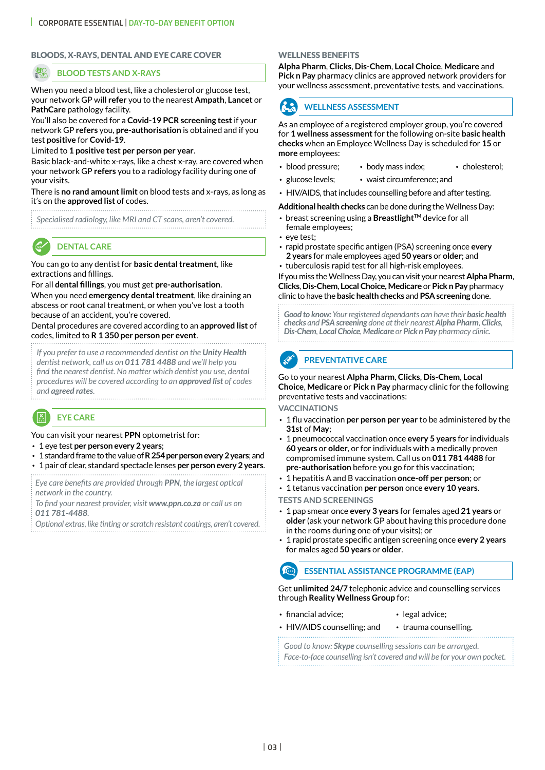#### BLOODS, X-RAYS, DENTAL AND EYE CARE COVER

#### **BLOOD TESTS AND X-RAYS**

When you need a blood test, like a cholesterol or glucose test, your network GP will **refer** you to the nearest **Ampath**, **Lancet** or **PathCare** pathology facility.

You'll also be covered for a **Covid-19 PCR screening test** if your network GP **refers** you, **pre-authorisation** is obtained and if you test **positive** for **Covid-19**.

Limited to **1 positive test per person per year**.

Basic black-and-white x-rays, like a chest x-ray, are covered when your network GP **refers** you to a radiology facility during one of your visits.

There is **no rand amount limit** on blood tests and x-rays, as long as it's on the **approved list** of codes.

*Specialised radiology, like MRI and CT scans, aren't covered.*

## **DENTAL CARE**

You can go to any dentist for **basic dental treatment**, like extractions and fillings.

For all **dental fillings**, you must get **pre-authorisation**. When you need **emergency dental treatment**, like draining an abscess or root canal treatment, or when you've lost a tooth because of an accident, you're covered.

Dental procedures are covered according to an **approved list** of codes, limited to **R 1 350 per person per event**.

*If you prefer to use a recommended dentist on the Unity Health dentist network, call us on 011 781 4488 and we'll help you find the nearest dentist. No matter which dentist you use, dental procedures will be covered according to an approved list of codes and agreed rates.*

## **EYE CARE**

You can visit your nearest **PPN** optometrist for:

- 1 eye test **per person every 2 years**;
- 1 standard frame to the value of **R 254 per person every 2 years**; and
- 1 pair of clear, standard spectacle lenses **per person every 2 years**.

*Eye care benefits are provided through PPN, the largest optical network in the country.* 

*To find your nearest provider, visit www.ppn.co.za or call us on 011 781-4488.*

*Optional extras, like tinting or scratch resistant coatings, aren't covered.*

#### WELLNESS BENEFITS

**Alpha Pharm**, **Clicks**, **Dis-Chem**, **Local Choice**, **Medicare** and **Pick n Pay** pharmacy clinics are approved network providers for your wellness assessment, preventative tests, and vaccinations.

## **WELLNESS ASSESSMENT**

As an employee of a registered employer group, you're covered for **1 wellness assessment** for the following on-site **basic health checks** when an Employee Wellness Day is scheduled for **15** or **more** employees:

- blood pressure: body mass index: cholesterol:
- glucose levels; waist circumference; and
- HIV/AIDS, that includes counselling before and after testing.

**Additional health checks** can be done during the Wellness Day:

- breast screening using a **BreastlightTM** device for all female employees;
- eye test;
- rapid prostate specific antigen (PSA) screening once **every 2 years** for male employees aged **50 years** or **older**; and
- tuberculosis rapid test for all high-risk employees.

If you miss the Wellness Day, you can visit your nearest **Alpha Pharm**, **Clicks**, **Dis-Chem**, **Local Choice, Medicare** or **Pick n Pay** pharmacy clinic to have the **basic health checks** and **PSA screening** done.

*Good to know: Your registered dependants can have their basic health checks and PSA screening done at their nearest Alpha Pharm, Clicks, Dis-Chem, Local Choice, Medicare or Pick n Pay pharmacy clinic.*

### **PREVENTATIVE CARE**

Go to your nearest **Alpha Pharm**, **Clicks**, **Dis-Chem**, **Local Choice**, **Medicare** or **Pick n Pay** pharmacy clinic for the following preventative tests and vaccinations:

**VACCINATIONS**

 $\mathcal{L}$ 

- 1 flu vaccination **per person per year** to be administered by the **31st** of **May**;
- 1 pneumococcal vaccination once **every 5 years** for individuals **60 years** or **older**, or for individuals with a medically proven compromised immune system. Call us on **011 781 4488** for **pre-authorisation** before you go for this vaccination;
- 1 hepatitis A and B vaccination **once-off per person**; or
- 1 tetanus vaccination **per person** once **every 10 years**.

**TESTS AND SCREENINGS**

- 1 pap smear once **every 3 years** for females aged **21 years** or **older** (ask your network GP about having this procedure done in the rooms during one of your visits); or
- 1 rapid prostate specific antigen screening once **every 2 years**  for males aged **50 years** or **older**.

 $\widehat{(\cdots)}$ **ESSENTIAL ASSISTANCE PROGRAMME (EAP)**

Get **unlimited 24/7** telephonic advice and counselling services through **Reality Wellness Group** for:

- financial advice; legal advice;
	-
- HIV/AIDS counselling; and trauma counselling.

*Good to know: Skype counselling sessions can be arranged.*

*Face-to-face counselling isn't covered and will be for your own pocket.*